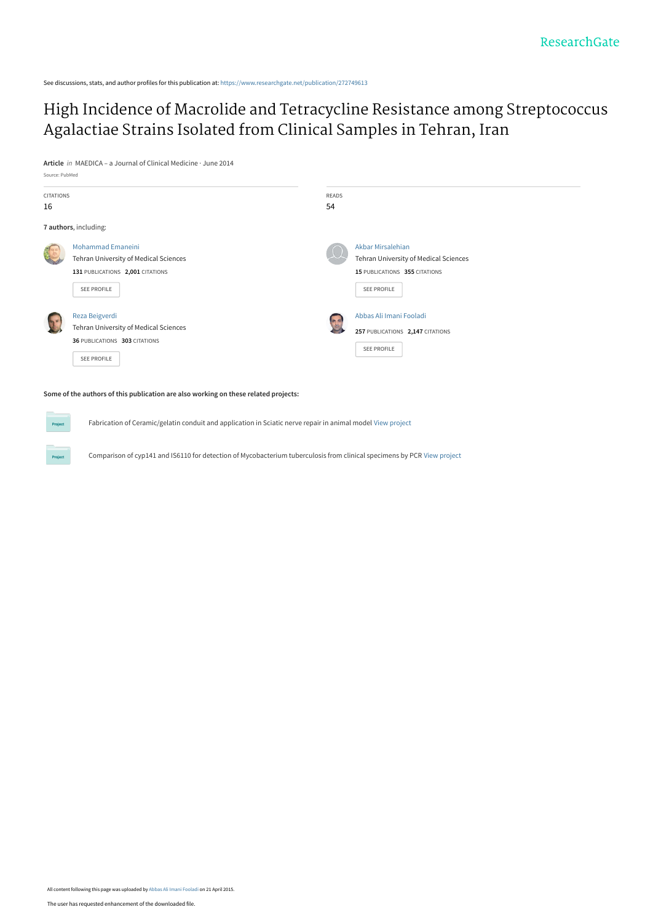See discussions, stats, and author profiles for this publication at: [https://www.researchgate.net/publication/272749613](https://www.researchgate.net/publication/272749613_High_Incidence_of_Macrolide_and_Tetracycline_Resistance_among_Streptococcus_Agalactiae_Strains_Isolated_from_Clinical_Samples_in_Tehran_Iran?enrichId=rgreq-76c544344969d20e5703fa2e841c6c15-XXX&enrichSource=Y292ZXJQYWdlOzI3Mjc0OTYxMztBUzoyMjA1NzU0NDExMzM1NzJAMTQyOTYwMDY5MTg1OA%3D%3D&el=1_x_2&_esc=publicationCoverPdf)

[High Incidence of Macrolide and Tetracycline Resistance among Streptococcus](https://www.researchgate.net/publication/272749613_High_Incidence_of_Macrolide_and_Tetracycline_Resistance_among_Streptococcus_Agalactiae_Strains_Isolated_from_Clinical_Samples_in_Tehran_Iran?enrichId=rgreq-76c544344969d20e5703fa2e841c6c15-XXX&enrichSource=Y292ZXJQYWdlOzI3Mjc0OTYxMztBUzoyMjA1NzU0NDExMzM1NzJAMTQyOTYwMDY5MTg1OA%3D%3D&el=1_x_3&_esc=publicationCoverPdf) Agalactiae Strains Isolated from Clinical Samples in Tehran, Iran

**Article** in MAEDICA – a Journal of Clinical Medicine · June 2014



**Some of the authors of this publication are also working on these related projects:**

Fabrication of Ceramic/gelatin conduit and application in Sciatic nerve repair in animal model [View project](https://www.researchgate.net/project/Fabrication-of-Ceramic-gelatin-conduit-and-application-in-Sciatic-nerve-repair-in-animal-model?enrichId=rgreq-76c544344969d20e5703fa2e841c6c15-XXX&enrichSource=Y292ZXJQYWdlOzI3Mjc0OTYxMztBUzoyMjA1NzU0NDExMzM1NzJAMTQyOTYwMDY5MTg1OA%3D%3D&el=1_x_9&_esc=publicationCoverPdf)

Comparison of cyp141 and IS6110 for detection of Mycobacterium tuberculosis from clinical specimens by PCR [View project](https://www.researchgate.net/project/Comparison-of-cyp141-and-IS6110-for-detection-of-Mycobacterium-tuberculosis-from-clinical-specimens-by-PCR?enrichId=rgreq-76c544344969d20e5703fa2e841c6c15-XXX&enrichSource=Y292ZXJQYWdlOzI3Mjc0OTYxMztBUzoyMjA1NzU0NDExMzM1NzJAMTQyOTYwMDY5MTg1OA%3D%3D&el=1_x_9&_esc=publicationCoverPdf)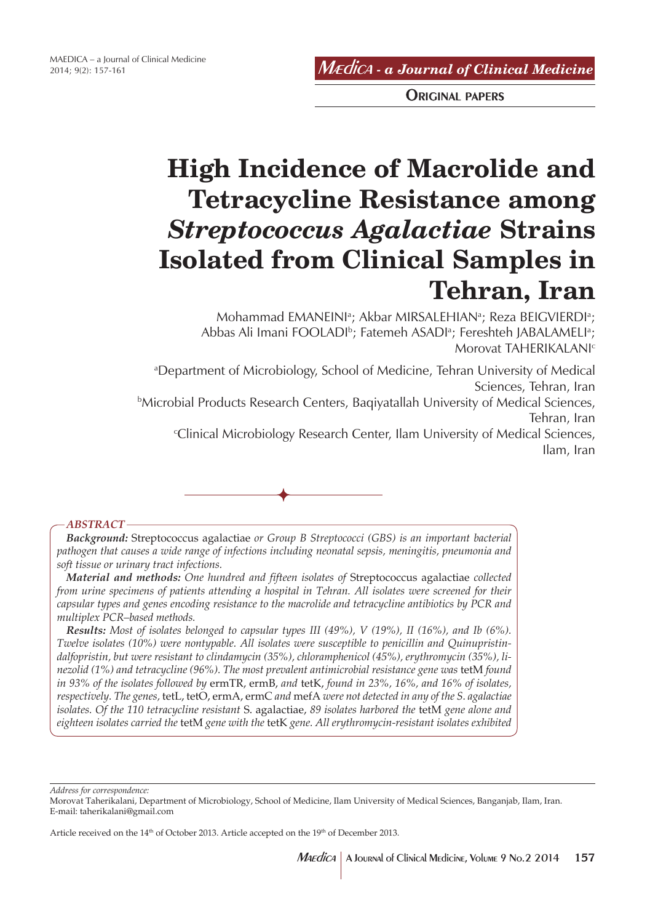Mædica *- a Journal of Clinical Medicine*

ORIGINAL PAPERS

# **High Incidence of Macrolide and Tetracycline Resistance among**  *Streptococcus Agalactiae* **Strains Isolated from Clinical Samples in Tehran, Iran**

Mohammad EMANEINIª; Akbar MIRSALEHIANª; Reza BEIGVIERDIª; Abbas Ali Imani FOOLADI<sup>ь</sup>; Fatemeh ASADIª; Fereshteh JABALAMELIª; Morovat TAHERIKALANIc

a Department of Microbiology, School of Medicine, Tehran University of Medical Sciences, Tehran, Iran

b Microbial Products Research Centers, Baqiyatallah University of Medical Sciences, Tehran, Iran

c Clinical Microbiology Research Center, Ilam University of Medical Sciences, Ilam, Iran



## *ABSTRACT*

*Background:* Streptococcus agalactiae *or Group B Streptococci (GBS) is an important bacterial pathogen that causes a wide range of infections including neonatal sepsis, meningitis, pneumonia and soft tissue or urinary tract infections.*

*Material and methods: One hundred and fifteen isolates of* Streptococcus agalactiae *collected from urine specimens of patients attending a hospital in Tehran. All isolates were screened for their capsular types and genes encoding resistance to the macrolide and tetracycline antibiotics by PCR and multiplex PCR–based methods.*

*Results: Most of isolates belonged to capsular types III (49%), V (19%), II (16%), and Ib (6%). Twelve isolates (10%) were nontypable. All isolates were susceptible to penicillin and Quinupristindalfopristin, but were resistant to clindamycin (35%), chloramphenicol (45%), erythromycin (35%), linezolid (1%) and tetracycline (96%). The most prevalent antimicrobial resistance gene was tetM found in 93% of the isolates followed by* ermTR, ermB, *and* tetK, *found in 23%, 16%, and 16% of isolates, respectively. The genes,* tetL, tetO, ermA, ermC *and* mefA *were not detected in any of the S. agalactiae isolates. Of the 110 tetracycline resistant* S. agalactiae, *89 isolates harbored the* tetM *gene alone and eighteen isolates carried the* tetM *gene with the* tetK *gene. All erythromycin-resistant isolates exhibited* 

*Address for correspondence:*

Morovat Taherikalani, Department of Microbiology, School of Medicine, Ilam University of Medical Sciences, Banganjab, Ilam, Iran. E-mail: taherikalani@gmail.com

Article received on the 14<sup>th</sup> of October 2013. Article accepted on the 19<sup>th</sup> of December 2013.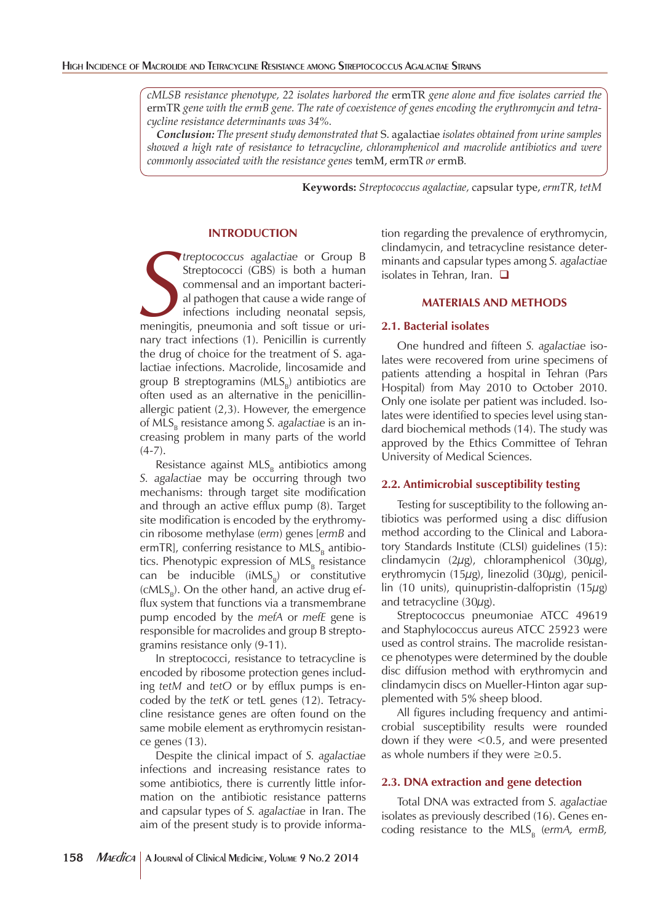*cMLSB resistance phenotype, 22 isolates harbored the* ermTR *gene alone and five isolates carried the*  ermTR *gene with the ermB gene. The rate of coexistence of genes encoding the erythromycin and tetracycline resistance determinants was 34%.* 

*Conclusion: The present study demonstrated that* S. agalactiae *isolates obtained from urine samples showed a high rate of resistance to tetracycline, chloramphenicol and macrolide antibiotics and were commonly associated with the resistance genes* temM, ermTR *or* ermB*.*

**Keywords:** *Streptococcus agalactiae,* capsular type, *ermTR, tetM*

## **INTRODUCTION**

**Streptococcus agalactiae or Group B**<br> **Streptococci (GBS) is both a human commensal and an important bacteri-<br>
al pathogen that cause a wide range of infections including neonatal sepsis,<br>
meningitis, pneumonia and soft t** *treptococcus agalactiae* or Group B Streptococci (GBS) is both a human commensal and an important bacterial pathogen that cause a wide range of infections including neonatal sepsis, nary tract infections (1). Penicillin is currently the drug of choice for the treatment of S. agalactiae infections. Macrolide, lincosamide and group B streptogramins  $(MLS_p)$  antibiotics are often used as an alternative in the penicillinallergic patient (2,3). However, the emergence of MLS<sub>p</sub> resistance among *S. agalactiae* is an increasing problem in many parts of the world  $(4-7)$ .

Resistance against  $MLS<sub>B</sub>$  antibiotics among *S. agalactiae* may be occurring through two mechanisms: through target site modification and through an active efflux pump (8). Target site modification is encoded by the erythromycin ribosome methylase (*erm*) genes [*ermB* and ermTR], conferring resistance to  $MLS<sub>B</sub>$  antibiotics. Phenotypic expression of  $MLS<sub>B</sub>$  resistance can be inducible  $(iMLS_p)$  or constitutive  $(cMLS_n)$ . On the other hand, an active drug efflux system that functions via a transmembrane pump encoded by the *mefA* or *mefE* gene is responsible for macrolides and group B streptogramins resistance only (9-11).

In streptococci, resistance to tetracycline is encoded by ribosome protection genes including *tetM* and *tetO* or by efflux pumps is encoded by the *tetK* or tetL genes (12). Tetracycline resistance genes are often found on the same mobile element as erythromycin resistance genes (13).

Despite the clinical impact of *S. agalactiae* infections and increasing resistance rates to some antibiotics, there is currently little information on the antibiotic resistance patterns and capsular types of *S. agalactiae* in Iran. The aim of the present study is to provide information regarding the prevalence of erythromycin, clindamycin, and tetracycline resistance determinants and capsular types among *S. agalactiae* isolates in Tehran, Iran.  $\square$ 

# **MATERIALS AND METHODS**

## **2.1. Bacterial isolates**

One hundred and fifteen *S. agalactiae* isolates were recovered from urine specimens of patients attending a hospital in Tehran (Pars Hospital) from May 2010 to October 2010. Only one isolate per patient was included. Isolates were identified to species level using standard biochemical methods (14). The study was approved by the Ethics Committee of Tehran University of Medical Sciences.

#### **2.2. Antimicrobial susceptibility testing**

Testing for susceptibility to the following antibiotics was performed using a disc diffusion method according to the Clinical and Laboratory Standards Institute (CLSI) guidelines (15): clindamycin (2μg), chloramphenicol (30μg), erythromycin (15μg), linezolid (30μg), penicillin (10 units), quinupristin-dalfopristin (15 $\mu$ g) and tetracycline  $(30\mu$ g).

Streptococcus pneumoniae ATCC 49619 and Staphylococcus aureus ATCC 25923 were used as control strains. The macrolide resistance phenotypes were determined by the double disc diffusion method with erythromycin and clindamycin discs on Mueller-Hinton agar supplemented with 5% sheep blood.

All figures including frequency and antimicrobial susceptibility results were rounded down if they were  $\leq 0.5$ , and were presented as whole numbers if they were  $≥0.5$ .

## **2.3. DNA extraction and gene detection**

Total DNA was extracted from *S. agalactiae* isolates as previously described (16). Genes encoding resistance to the  $MLS<sub>B</sub>$  (*ermA*, *ermB*,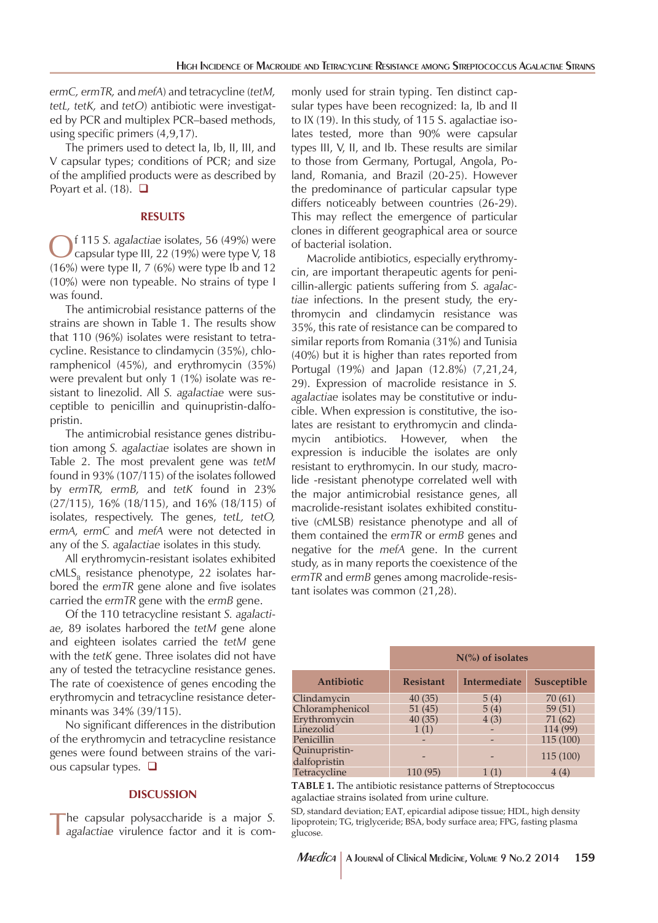*ermC, ermTR,* and *mefA*) and tetracycline (*tetM, tetL, tetK,* and *tetO*) antibiotic were investigated by PCR and multiplex PCR–based methods, using specific primers (4,9,17).

The primers used to detect Ia, Ib, II, III, and V capsular types; conditions of PCR; and size of the amplified products were as described by Poyart et al.  $(18)$ .  $\Box$ 

#### **RESULTS**

Of 115 *S. agalactiae* isolates, 56 (49%) were<br>capsular type III, 22 (19%) were type V, 18<br>(10%) ware time II, 7 (0%) were time Ib and 12  $(16%)$  were type II, 7  $(6%)$  were type Ib and 12 (10%) were non typeable. No strains of type I was found.

The antimicrobial resistance patterns of the strains are shown in Table 1. The results show that 110 (96%) isolates were resistant to tetracycline. Resistance to clindamycin (35%), chloramphenicol (45%), and erythromycin (35%) were prevalent but only 1 (1%) isolate was resistant to linezolid. All *S. agalactiae* were susceptible to penicillin and quinupristin-dalfopristin.

The antimicrobial resistance genes distribution among *S. agalactiae* isolates are shown in Table 2. The most prevalent gene was *tetM* found in 93% (107/115) of the isolates followed by *ermTR, ermB,* and *tetK* found in 23% (27/115), 16% (18/115), and 16% (18/115) of isolates, respectively. The genes, *tetL, tetO, ermA, ermC* and *mefA* were not detected in any of the *S. agalactiae* isolates in this study.

All erythromycin-resistant isolates exhibited  $cMLS<sub>B</sub>$  resistance phenotype, 22 isolates harbored the *ermTR* gene alone and five isolates carried the *ermTR* gene with the *ermB* gene.

Of the 110 tetracycline resistant *S. agalactiae,* 89 isolates harbored the *tetM* gene alone and eighteen isolates carried the *tetM* gene with the *tetK* gene. Three isolates did not have any of tested the tetracycline resistance genes. The rate of coexistence of genes encoding the erythromycin and tetracycline resistance determinants was 34% (39/115).

No significant differences in the distribution of the erythromycin and tetracycline resistance genes were found between strains of the various capsular types.  $\Box$ 

#### **DISCUSSION**

The capsular polysaccharide is a major *S. agalactiae* virulence factor and it is com-

monly used for strain typing. Ten distinct capsular types have been recognized: Ia, Ib and II to IX (19). In this study, of 115 S. agalactiae isolates tested, more than 90% were capsular types III, V, II, and Ib. These results are similar to those from Germany, Portugal, Angola, Poland, Romania, and Brazil (20-25). However the predominance of particular capsular type differs noticeably between countries (26-29). This may reflect the emergence of particular clones in different geographical area or source of bacterial isolation.

Macrolide antibiotics, especially erythromycin, are important therapeutic agents for penicillin-allergic patients suffering from *S. agalactiae* infections. In the present study, the erythromycin and clindamycin resistance was 35%, this rate of resistance can be compared to similar reports from Romania (31%) and Tunisia (40%) but it is higher than rates reported from Portugal (19%) and Japan (12.8%) (7,21,24, 29). Expression of macrolide resistance in *S. agalactiae* isolates may be constitutive or inducible. When expression is constitutive, the isolates are resistant to erythromycin and clindamycin antibiotics. However, when the expression is inducible the isolates are only resistant to erythromycin. In our study, macrolide -resistant phenotype correlated well with the major antimicrobial resistance genes, all macrolide-resistant isolates exhibited constitutive (cMLSB) resistance phenotype and all of them contained the *ermTR* or *ermB* genes and negative for the *mefA* gene. In the current study, as in many reports the coexistence of the *ermTR* and *ermB* genes among macrolide-resistant isolates was common (21,28).

|                 | $N\binom{9}{0}$ of isolates |              |             |  |
|-----------------|-----------------------------|--------------|-------------|--|
| Antibiotic      | <b>Resistant</b>            | Intermediate | Susceptible |  |
| Clindamycin     | 40(35)                      | 5(4)         | 70(61)      |  |
| Chloramphenicol | 51(45)                      | 5(4)         | 59(51)      |  |
| Erythromycin    | 40(35)                      | 4(3)         | 71 (62)     |  |
| Linezolid       | 1(1)                        |              | 114 (99)    |  |
| Penicillin      |                             |              | 115 (100)   |  |
| Quinupristin-   |                             |              |             |  |
| dalfopristin    |                             |              | 115 (100)   |  |
| Tetracycline    | 110 (95)                    | 1(1)         | 4(4)        |  |

**TABLE 1.** The antibiotic resistance patterns of Streptococcus agalactiae strains isolated from urine culture.

SD, standard deviation; EAT, epicardial adipose tissue; HDL, high density lipoprotein; TG, triglyceride; BSA, body surface area; FPG, fasting plasma glucose.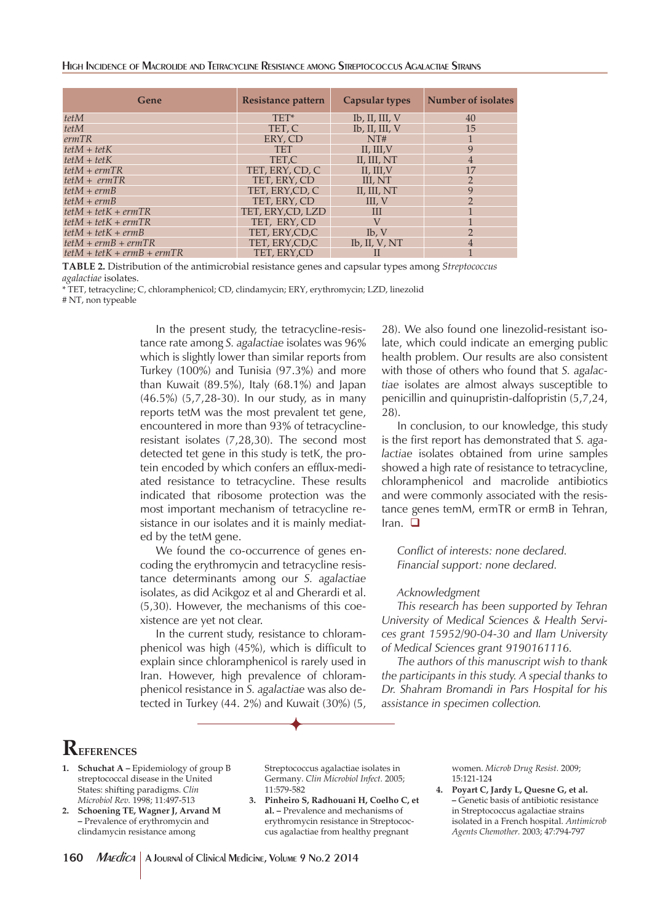HIGH INCIDENCE OF MACROLIDE AND TETRACYCLINE RESISTANCE AMONG STREPTOCOCCUS AGALACTIAE STRAINS

| Gene                         | Resistance pattern | <b>Capsular types</b>     | Number of isolates |
|------------------------------|--------------------|---------------------------|--------------------|
| tetM                         | TET*               | $Ib$ , $II$ , $III$ , $V$ | 40                 |
| tetM                         | TET. C             | $Ib$ , II, III, V         | 15                 |
| ermTR                        | ERY, CD            | NT#                       |                    |
| $tetM + tetK$                | <b>TET</b>         | II, III, V                | 9                  |
| $tetM + tetK$                | TET.C              | II, III, NT               | 4                  |
| $tetM + ermTR$               | TET, ERY, CD, C    | II, III, V                |                    |
| $tetM + ermTR$               | TET. ERY. CD       | III. NT                   | $\overline{2}$     |
| $tetM + ermB$                | TET, ERY, CD, C    | II, III, NT               | 9                  |
| $tetM + ermB$                | TET. ERY. CD       | III, V                    | っ                  |
| $tetM + tetK + ermTR$        | TET. ERY.CD. LZD   | Ш                         |                    |
| $tetM + tetK + ermTR$        | TET. ERY. CD       | V                         |                    |
| $tetM + tetK + ermB$         | TET. ERY.CD.C      | Ib, V                     | ∍                  |
| $tetM + ermB + ermTR$        | TET, ERY, CD, C    | $Ib$ , $II$ , $V$ , $NT$  | 4                  |
| $tetM + tetK + ermB + ermTR$ | TET, ERY, CD       |                           |                    |

**TABLE 2.** Distribution of the antimicrobial resistance genes and capsular types among *Streptococcus agalactiae* isolates.

\* TET, tetracycline; C, chloramphenicol; CD, clindamycin; ERY, erythromycin; LZD, linezolid

# NT, non typeable

In the present study, the tetracycline-resistance rate among *S. agalactiae* isolates was 96% which is slightly lower than similar reports from Turkey (100%) and Tunisia (97.3%) and more than Kuwait (89.5%), Italy (68.1%) and Japan (46.5%) (5,7,28-30). In our study, as in many reports tetM was the most prevalent tet gene, encountered in more than 93% of tetracyclineresistant isolates (7,28,30). The second most detected tet gene in this study is tetK, the protein encoded by which confers an efflux-mediated resistance to tetracycline. These results indicated that ribosome protection was the most important mechanism of tetracycline resistance in our isolates and it is mainly mediated by the tetM gene.

We found the co-occurrence of genes encoding the erythromycin and tetracycline resistance determinants among our *S. agalactiae* isolates, as did Acikgoz et al and Gherardi et al. (5,30). However, the mechanisms of this coexistence are yet not clear.

In the current study, resistance to chloramphenicol was high (45%), which is difficult to explain since chloramphenicol is rarely used in Iran. However, high prevalence of chloramphenicol resistance in *S. agalactiae* was also detected in Turkey (44. 2%) and Kuwait (30%) (5, 28). We also found one linezolid-resistant isolate, which could indicate an emerging public health problem. Our results are also consistent with those of others who found that *S. agalactiae* isolates are almost always susceptible to penicillin and quinupristin-dalfopristin (5,7,24, 28).

In conclusion, to our knowledge, this study is the first report has demonstrated that *S. agalactiae* isolates obtained from urine samples showed a high rate of resistance to tetracycline, chloramphenicol and macrolide antibiotics and were commonly associated with the resistance genes temM, ermTR or ermB in Tehran, Iran.  $\Box$ 

*Conflict of interests: none declared. Financial support: none declared.*

#### *Acknowledgment*

*This research has been supported by Tehran University of Medical Sciences & Health Services grant 15952/90-04-30 and Ilam University of Medical Sciences grant 9190161116.*

*The authors of this manuscript wish to thank the participants in this study. A special thanks to Dr. Shahram Bromandi in Pars Hospital for his assistance in specimen collection.*

# **REFERENCES**

- 1. **Schuchat A Epidemiology of group B** streptococcal disease in the United States: shifting paradigms. *Clin Microbiol Rev.* 1998; 11:497-513
- **2. Schoening TE, Wagner J, Arvand M –** Prevalence of erythromycin and clindamycin resistance among

Streptococcus agalactiae isolates in Germany. *Clin Microbiol Infect.* 2005; 11:579-582

**3. Pinheiro S, Radhouani H, Coelho C, et al. –** Prevalence and mechanisms of erythromycin resistance in Streptococcus agalactiae from healthy pregnant

women. *Microb Drug Resist.* 2009; 15:121-124

**4. Poyart C, Jardy L, Quesne G, et al. –** Genetic basis of antibiotic resistance in Streptococcus agalactiae strains isolated in a French hospital. *Antimicrob Agents Chemother.* 2003; 47:794-797